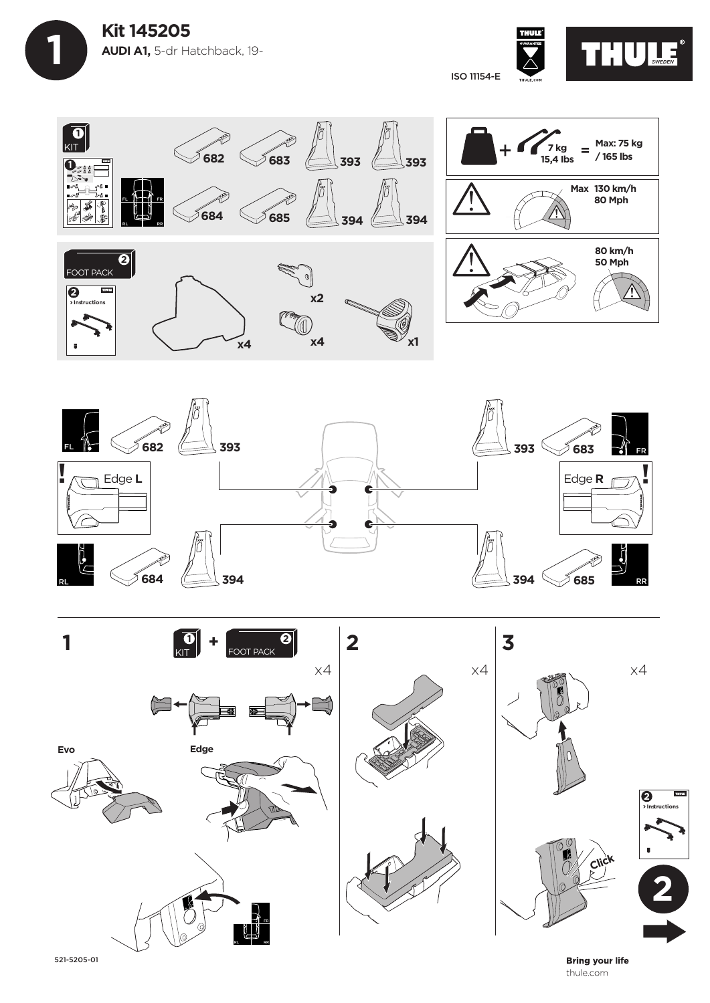









521-5205-01

**Bring your life** thule.com